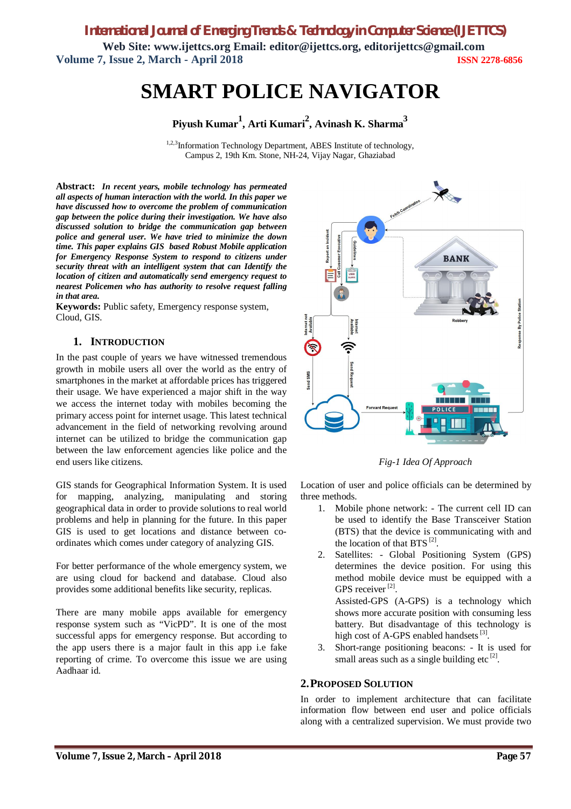# **SMART POLICE NAVIGATOR**

**Piyush Kumar<sup>1</sup> , Arti Kumari<sup>2</sup> , Avinash K. Sharma<sup>3</sup>**

<sup>1,2,3</sup>Information Technology Department, ABES Institute of technology, Campus 2, 19th Km. Stone, NH-24, Vijay Nagar, Ghaziabad

**Abstract:** *In recent years, mobile technology has permeated all aspects of human interaction with the world. In this paper we have discussed how to overcome the problem of communication gap between the police during their investigation. We have also discussed solution to bridge the communication gap between police and general user. We have tried to minimize the down time. This paper explains GIS based Robust Mobile application for Emergency Response System to respond to citizens under security threat with an intelligent system that can Identify the location of citizen and automatically send emergency request to nearest Policemen who has authority to resolve request falling in that area.*

**Keywords:** Public safety, Emergency response system, Cloud, GIS.

# **1. INTRODUCTION**

In the past couple of years we have witnessed tremendous growth in mobile users all over the world as the entry of smartphones in the market at affordable prices has triggered their usage. We have experienced a major shift in the way we access the internet today with mobiles becoming the primary access point for internet usage. This latest technical advancement in the field of networking revolving around internet can be utilized to bridge the communication gap between the law enforcement agencies like police and the end users like citizens.

GIS stands for Geographical Information System. It is used for mapping, analyzing, manipulating and storing geographical data in order to provide solutions to real world problems and help in planning for the future. In this paper GIS is used to get locations and distance between coordinates which comes under category of analyzing GIS.

For better performance of the whole emergency system, we are using cloud for backend and database. Cloud also provides some additional benefits like security, replicas.

There are many mobile apps available for emergency response system such as "VicPD". It is one of the most successful apps for emergency response. But according to the app users there is a major fault in this app i.e fake reporting of crime. To overcome this issue we are using Aadhaar id.



*Fig-1 Idea Of Approach*

Location of user and police officials can be determined by three methods.

- 1. Mobile phone network: The current cell ID can be used to identify the Base Transceiver Station (BTS) that the device is communicating with and the location of that BTS  $^{[2]}$ .
- 2. Satellites: Global Positioning System (GPS) determines the device position. For using this method mobile device must be equipped with a GPS receiver<sup>[2]</sup>.

Assisted-GPS (A-GPS) is a technology which shows more accurate position with consuming less battery. But disadvantage of this technology is high cost of A-GPS enabled handsets<sup>[3]</sup>.

3. Short-range positioning beacons: - It is used for small areas such as a single building etc $^{[2]}$ .

# **2.PROPOSED SOLUTION**

In order to implement architecture that can facilitate information flow between end user and police officials along with a centralized supervision. We must provide two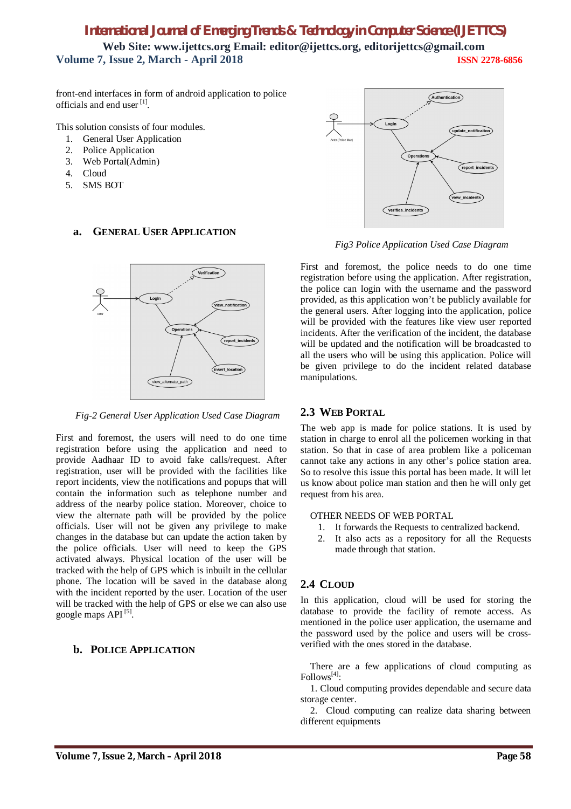front-end interfaces in form of android application to police officials and end user [1].

This solution consists of four modules.

- 1. General User Application
- 2. Police Application
- 3. Web Portal(Admin)
- 4. Cloud
- 5. SMS BOT

#### **a. GENERAL USER APPLICATION**



*Fig-2 General User Application Used Case Diagram*

First and foremost, the users will need to do one time registration before using the application and need to provide Aadhaar ID to avoid fake calls/request. After registration, user will be provided with the facilities like report incidents, view the notifications and popups that will contain the information such as telephone number and address of the nearby police station. Moreover, choice to view the alternate path will be provided by the police officials. User will not be given any privilege to make changes in the database but can update the action taken by the police officials. User will need to keep the GPS activated always. Physical location of the user will be tracked with the help of GPS which is inbuilt in the cellular phone. The location will be saved in the database along with the incident reported by the user. Location of the user will be tracked with the help of GPS or else we can also use google maps API<sup>[5]</sup>.

# **b. POLICE APPLICATION**



*Fig3 Police Application Used Case Diagram*

First and foremost, the police needs to do one time registration before using the application. After registration, the police can login with the username and the password provided, as this application won't be publicly available for the general users. After logging into the application, police will be provided with the features like view user reported incidents. After the verification of the incident, the database will be updated and the notification will be broadcasted to all the users who will be using this application. Police will be given privilege to do the incident related database manipulations.

# **2.3 WEB PORTAL**

The web app is made for police stations. It is used by station in charge to enrol all the policemen working in that station. So that in case of area problem like a policeman cannot take any actions in any other's police station area. So to resolve this issue this portal has been made. It will let us know about police man station and then he will only get request from his area.

#### OTHER NEEDS OF WEB PORTAL

- 1. It forwards the Requests to centralized backend.
- 2. It also acts as a repository for all the Requests made through that station.

# **2.4 CLOUD**

In this application, cloud will be used for storing the database to provide the facility of remote access. As mentioned in the police user application, the username and the password used by the police and users will be crossverified with the ones stored in the database.

There are a few applications of cloud computing as Follows<sup>[4]</sup>:

1. Cloud computing provides dependable and secure data storage center.

2. Cloud computing can realize data sharing between different equipments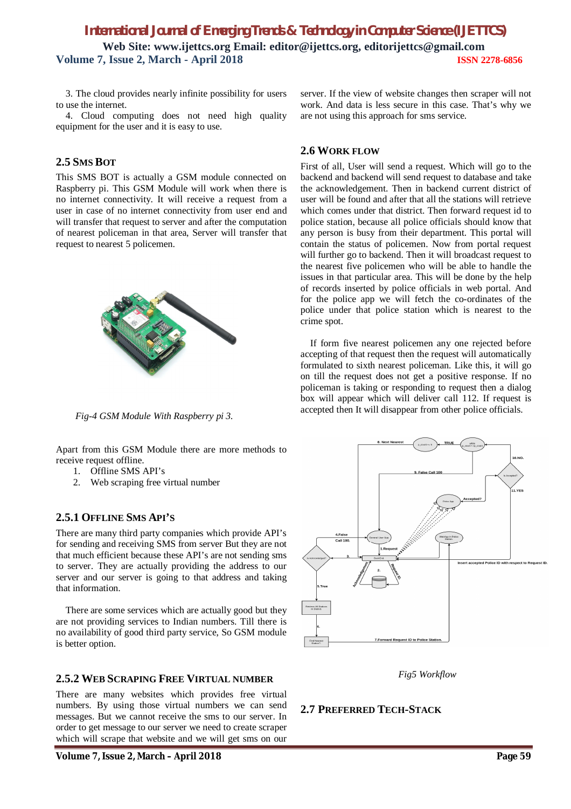3. The cloud provides nearly infinite possibility for users to use the internet.

4. Cloud computing does not need high quality equipment for the user and it is easy to use.

# **2.5 SMS BOT**

This SMS BOT is actually a GSM module connected on Raspberry pi. This GSM Module will work when there is no internet connectivity. It will receive a request from a user in case of no internet connectivity from user end and will transfer that request to server and after the computation of nearest policeman in that area, Server will transfer that request to nearest 5 policemen.



*Fig-4 GSM Module With Raspberry pi 3.*

Apart from this GSM Module there are more methods to receive request offline.

- 1. Offline SMS API's
- 2. Web scraping free virtual number

#### **2.5.1 OFFLINE SMS API'S**

There are many third party companies which provide API's for sending and receiving SMS from server But they are not that much efficient because these API's are not sending sms to server. They are actually providing the address to our server and our server is going to that address and taking that information.

There are some services which are actually good but they are not providing services to Indian numbers. Till there is no availability of good third party service, So GSM module is better option.

#### **2.5.2 WEB SCRAPING FREE VIRTUAL NUMBER**

There are many websites which provides free virtual numbers. By using those virtual numbers we can send messages. But we cannot receive the sms to our server. In order to get message to our server we need to create scraper which will scrape that website and we will get sms on our

server. If the view of website changes then scraper will not work. And data is less secure in this case. That's why we are not using this approach for sms service.

#### **2.6 WORK FLOW**

First of all, User will send a request. Which will go to the backend and backend will send request to database and take the acknowledgement. Then in backend current district of user will be found and after that all the stations will retrieve which comes under that district. Then forward request id to police station, because all police officials should know that any person is busy from their department. This portal will contain the status of policemen. Now from portal request will further go to backend. Then it will broadcast request to the nearest five policemen who will be able to handle the issues in that particular area. This will be done by the help of records inserted by police officials in web portal. And for the police app we will fetch the co-ordinates of the police under that police station which is nearest to the crime spot.

If form five nearest policemen any one rejected before accepting of that request then the request will automatically formulated to sixth nearest policeman. Like this, it will go on till the request does not get a positive response. If no policeman is taking or responding to request then a dialog box will appear which will deliver call 112. If request is accepted then It will disappear from other police officials.



*Fig5 Workflow*

#### **2.7 PREFERRED TECH-STACK**